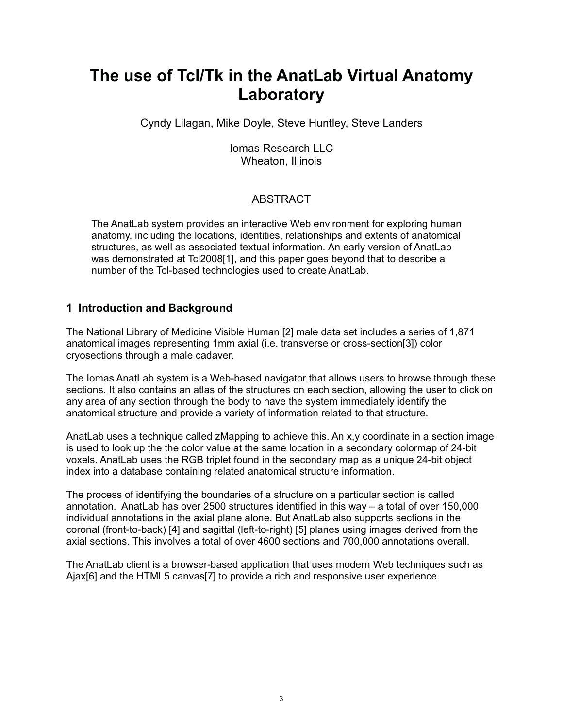# The use of Tcl/Tk in the AnatLab Virtual Anatomy Laboratory

Cyndy Lilagan, Mike Doyle, Steve Huntley, Steve Landers

**Iomas Research LLC** Wheaton, Illinois

# **ABSTRACT**

The AnatLab system provides an interactive Web environment for exploring human anatomy, including the locations, identities, relationships and extents of anatomical structures, as well as associated textual information. An early version of AnatLab was demonstrated at Tcl2008[1], and this paper goes beyond that to describe a number of the Tcl-based technologies used to create AnatLab.

# 1 Introduction and Background

The National Library of Medicine Visible Human [2] male data set includes a series of 1,871 anatomical images representing 1mm axial (i.e. transverse or cross-section[3]) color cryosections through a male cadaver.

The Iomas AnatLab system is a Web-based navigator that allows users to browse through these sections. It also contains an atlas of the structures on each section, allowing the user to click on any area of any section through the body to have the system immediately identify the anatomical structure and provide a variety of information related to that structure.

AnatLab uses a technique called zMapping to achieve this. An x, y coordinate in a section image is used to look up the the color value at the same location in a secondary colormap of 24-bit voxels. AnatLab uses the RGB triplet found in the secondary map as a unique 24-bit object index into a database containing related anatomical structure information.

The process of identifying the boundaries of a structure on a particular section is called annotation. AnatLab has over 2500 structures identified in this way  $-$  a total of over 150,000 individual annotations in the axial plane alone. But AnatLab also supports sections in the coronal (front-to-back) [4] and sagittal (left-to-right) [5] planes using images derived from the axial sections. This involves a total of over 4600 sections and 700,000 annotations overall.

The AnatLab client is a browser-based application that uses modern Web techniques such as Ajax[6] and the HTML5 canvas[7] to provide a rich and responsive user experience.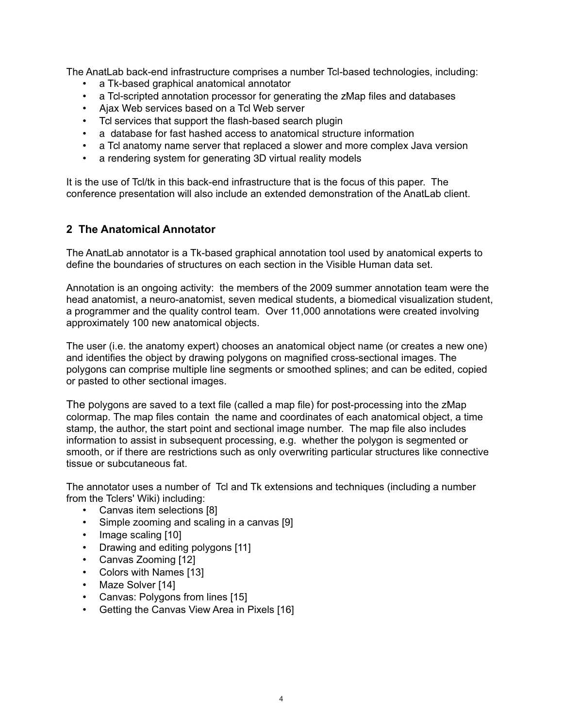The AnatLab back-end infrastructure comprises a number Tcl-based technologies, including:

- a Tk-based graphical anatomical annotator
- a Tcl-scripted annotation processor for generating the zMap files and databases
- Ajax Web services based on a Tcl Web server
- Tcl services that support the flash-based search plugin
- a database for fast hashed access to anatomical structure information
- a Tcl anatomy name server that replaced a slower and more complex Java version
- $\bullet$  . a rendering system for generating 3D virtual reality models

It is the use of Tcl/tk in this back-end infrastructure that is the focus of this paper. The conference presentation will also include an extended demonstration of the AnatLab client.

## 2 The Anatomical Annotator

The AnatLab annotator is a Tk-based graphical annotation tool used by anatomical experts to define the boundaries of structures on each section in the Visible Human data set.

Annotation is an ongoing activity: the members of the 2009 summer annotation team were the head anatomist, a neuro-anatomist, seven medical students, a biomedical visualization student, a programmer and the quality control team. Over 11,000 annotations were created involving approximately 100 new anatomical objects.

The user (i.e. the anatomy expert) chooses an anatomical object name (or creates a new one) and identifies the object by drawing polygons on magnified cross-sectional images. The polygons can comprise multiple line segments or smoothed splines; and can be edited, copied or pasted to other sectional images.

The polygons are saved to a text file (called a map file) for post-processing into the zMap colormap. The map files contain the name and coordinates of each anatomical object, a time stamp, the author, the start point and sectional image number. The map file also includes information to assist in subsequent processing, e.g. whether the polygon is segmented or smooth, or if there are restrictions such as only overwriting particular structures like connective tissue or subcutaneous fat

The annotator uses a number of Tcl and Tk extensions and techniques (including a number from the Tclers' Wiki) including:

- Canvas item selections [8]
- Simple zooming and scaling in a canvas [9]
- Image scaling [10]
- Drawing and editing polygons [11]
- Canvas Zooming [12]
- Colors with Names [13]
- Maze Solver [14]
- Canvas: Polygons from lines [15]
- Getting the Canvas View Area in Pixels [16]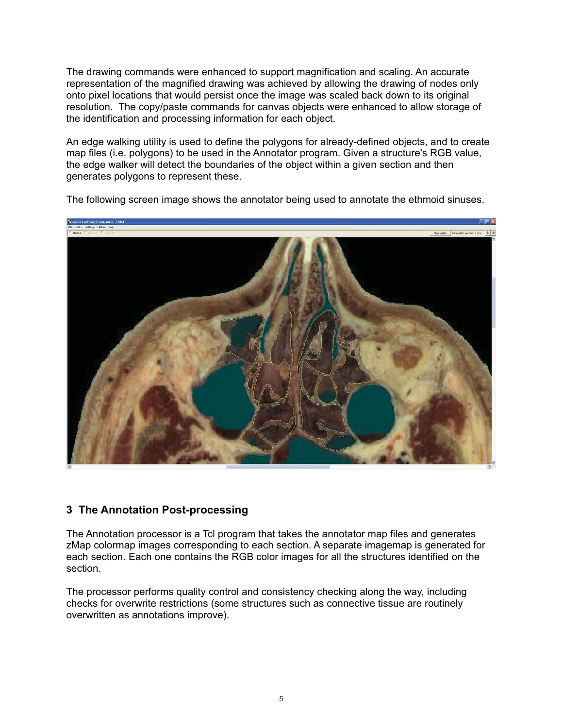The drawing commands were enhanced to support magnification and scaling. An accurate representation of the magnified drawing was achieved by allowing the drawing of nodes only onto pixel locations that would persist once the image was scaled back down to its original resolution. The copy/paste commands for canvas objects were enhanced to allow storage of the identification and processing information for each object.

An edge walking utility is used to define the polygons for already-defined objects, and to create map files (i.e. polygons) to be used in the Annotator program. Given a structure's RGB value, the edge walker will detect the boundaries of the object within a given section and then generates polygons to represent these.



The following screen image shows the annotator being used to annotate the ethmoid sinuses.

### 3 The Annotation Post-processing

The Annotation processor is a Tcl program that takes the annotator map files and generates zMap colormap images corresponding to each section. A separate imagemap is generated for each section. Each one contains the RGB color images for all the structures identified on the section.

The processor performs quality control and consistency checking along the way, including checks for overwrite restrictions (some structures such as connective tissue are routinely overwritten as annotations improve).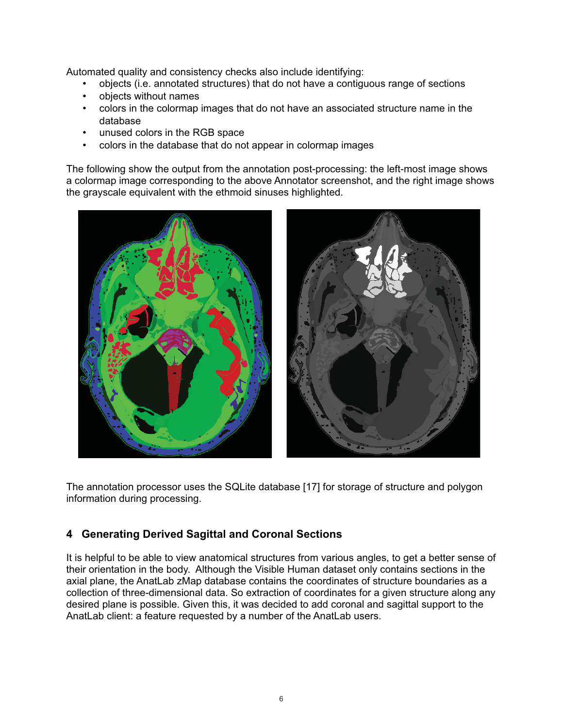Automated quality and consistency checks also include identifying:

- objects (i.e. annotated structures) that do not have a contiguous range of sections
- objects without names
- colors in the colormap images that do not have an associated structure name in the  $\bullet$ database
- unused colors in the RGB space
- colors in the database that do not appear in colormap images

The following show the output from the annotation post-processing: the left-most image shows a colormap image corresponding to the above Annotator screenshot, and the right image shows the grayscale equivalent with the ethmoid sinuses highlighted.



The annotation processor uses the SQLite database [17] for storage of structure and polygon information during processing.

# 4 Generating Derived Sagittal and Coronal Sections

It is helpful to be able to view anatomical structures from various angles, to get a better sense of their orientation in the body. Although the Visible Human dataset only contains sections in the axial plane, the AnatLab zMap database contains the coordinates of structure boundaries as a collection of three-dimensional data. So extraction of coordinates for a given structure along any desired plane is possible. Given this, it was decided to add coronal and sagittal support to the AnatLab client: a feature requested by a number of the AnatLab users.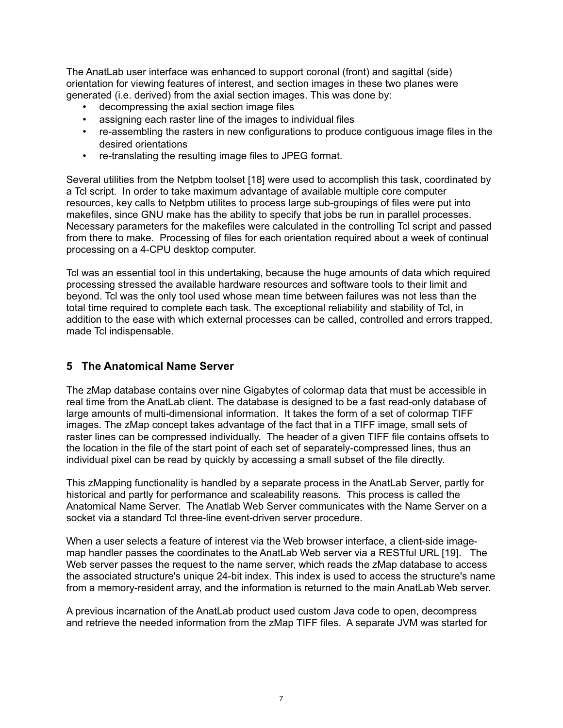The AnatLab user interface was enhanced to support coronal (front) and sagittal (side) orientation for viewing features of interest, and section images in these two planes were generated (i.e. derived) from the axial section images. This was done by:

- decompressing the axial section image files
- assigning each raster line of the images to individual files
- re-assembling the rasters in new configurations to produce contiguous image files in the desired orientations
- $\bullet$  . re-translating the resulting image files to JPEG format.

Several utilities from the Netpbm toolset [18] were used to accomplish this task, coordinated by a Tcl script. In order to take maximum advantage of available multiple core computer resources, key calls to Netpbm utilites to process large sub-groupings of files were put into makefiles, since GNU make has the ability to specify that jobs be run in parallel processes. Necessary parameters for the makefiles were calculated in the controlling Tcl script and passed from there to make. Processing of files for each orientation required about a week of continual processing on a 4-CPU desktop computer.

Tcl was an essential tool in this undertaking, because the huge amounts of data which required processing stressed the available hardware resources and software tools to their limit and beyond. To was the only tool used whose mean time between failures was not less than the total time required to complete each task. The exceptional reliability and stability of Tcl, in addition to the ease with which external processes can be called, controlled and errors trapped, made Tcl indispensable.

# 5 The Anatomical Name Server

The zMap database contains over nine Gigabytes of colormap data that must be accessible in real time from the AnatLab client. The database is designed to be a fast read-only database of large amounts of multi-dimensional information. It takes the form of a set of colormap TIFF images. The zMap concept takes advantage of the fact that in a TIFF image, small sets of raster lines can be compressed individually. The header of a given TIFF file contains offsets to the location in the file of the start point of each set of separately-compressed lines, thus an individual pixel can be read by quickly by accessing a small subset of the file directly.

This zMapping functionality is handled by a separate process in the AnatLab Server, partly for historical and partly for performance and scaleability reasons. This process is called the Anatomical Name Server. The Anatlab Web Server communicates with the Name Server on a socket via a standard Tcl three-line event-driven server procedure.

When a user selects a feature of interest via the Web browser interface, a client-side imagemap handler passes the coordinates to the AnatLab Web server via a RESTful URL [19]. The Web server passes the request to the name server, which reads the zMap database to access the associated structure's unique 24-bit index. This index is used to access the structure's name from a memory-resident array, and the information is returned to the main AnatLab Web server.

A previous incarnation of the AnatLab product used custom Java code to open, decompress and retrieve the needed information from the zMap TIFF files. A separate JVM was started for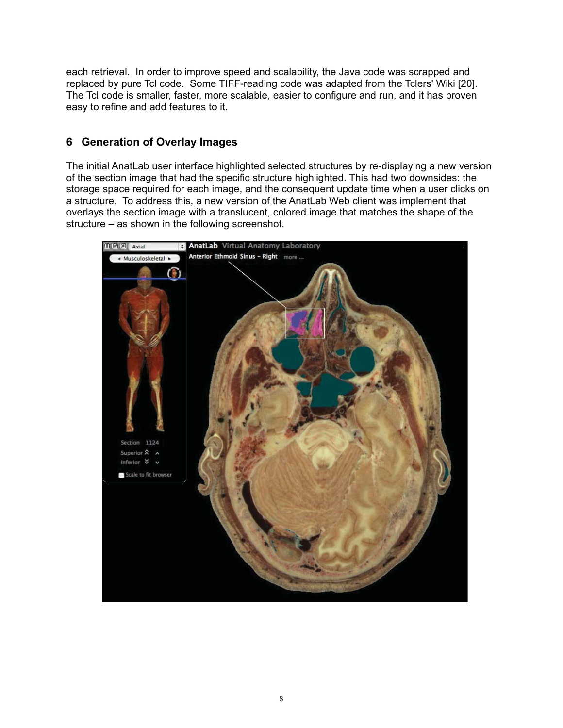each retrieval. In order to improve speed and scalability, the Java code was scrapped and replaced by pure Tcl code. Some TIFF-reading code was adapted from the Tclers' Wiki [20]. The Tcl code is smaller, faster, more scalable, easier to configure and run, and it has proven easy to refine and add features to it.

## 6 Generation of Overlay Images

The initial AnatLab user interface highlighted selected structures by re-displaying a new version of the section image that had the specific structure highlighted. This had two downsides: the storage space required for each image, and the consequent update time when a user clicks on a structure. To address this, a new version of the AnatLab Web client was implement that overlays the section image with a translucent, colored image that matches the shape of the structure – as shown in the following screenshot.

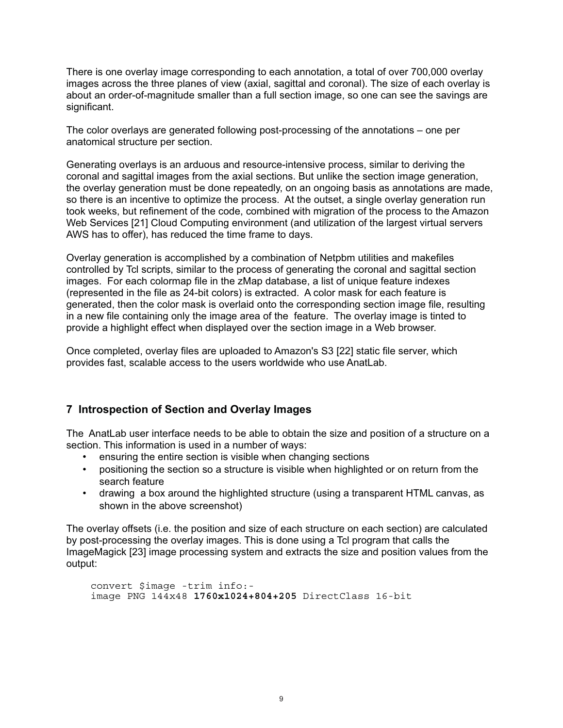There is one overlay image corresponding to each annotation, a total of over 700,000 overlay images across the three planes of view (axial, sagittal and coronal). The size of each overlay is about an order-of-magnitude smaller than a full section image, so one can see the savings are significant.

The color overlays are generated following post-processing of the annotations – one per anatomical structure per section.

Generating overlays is an arduous and resource-intensive process, similar to deriving the coronal and sagittal images from the axial sections. But unlike the section image generation, the overlay generation must be done repeatedly, on an ongoing basis as annotations are made, so there is an incentive to optimize the process. At the outset, a single overlay generation run took weeks, but refinement of the code, combined with migration of the process to the Amazon Web Services [21] Cloud Computing environment (and utilization of the largest virtual servers AWS has to offer), has reduced the time frame to days.

Overlay generation is accomplished by a combination of Netpbm utilities and makefiles controlled by Tcl scripts, similar to the process of generating the coronal and sagittal section images. For each colormap file in the zMap database, a list of unique feature indexes (represented in the file as 24-bit colors) is extracted. A color mask for each feature is generated, then the color mask is overlaid onto the corresponding section image file, resulting in a new file containing only the image area of the feature. The overlay image is tinted to provide a highlight effect when displayed over the section image in a Web browser.

Once completed, overlay files are uploaded to Amazon's S3 [22] static file server, which provides fast, scalable access to the users worldwide who use AnatLab.

### 7 Introspection of Section and Overlay Images

The AnatLab user interface needs to be able to obtain the size and position of a structure on a section. This information is used in a number of ways:

- ensuring the entire section is visible when changing sections
- positioning the section so a structure is visible when highlighted or on return from the search feature
- drawing a box around the highlighted structure (using a transparent HTML canvas, as shown in the above screenshot)

The overlay offsets (i.e. the position and size of each structure on each section) are calculated by post-processing the overlay images. This is done using a Tcl program that calls the ImageMagick [23] image processing system and extracts the size and position values from the output:

```
convert $image -trim info:-
image PNG 144x48 1760x1024+804+205 DirectClass 16-bit
```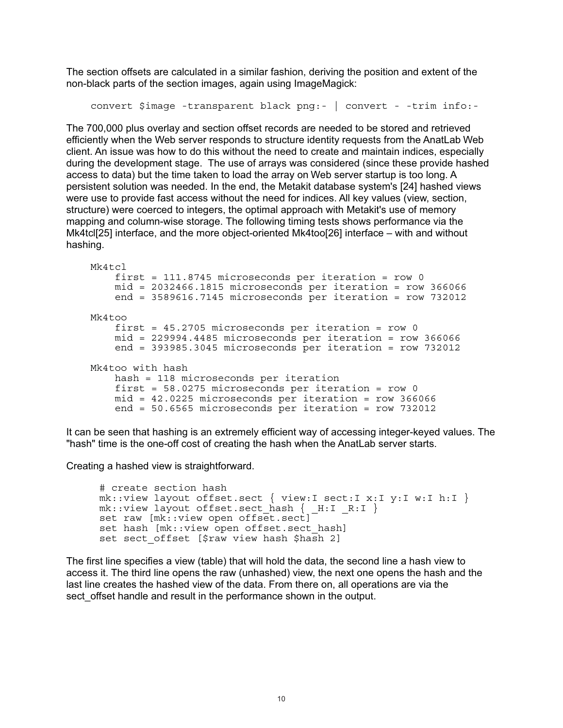The section offsets are calculated in a similar fashion, deriving the position and extent of the non-black parts of the section images, again using ImageMagick:

```
convert $image -transparent black png:- | convert - -trim info:-
```
The 700,000 plus overlay and section offset records are needed to be stored and retrieved efficiently when the Web server responds to structure identity requests from the AnatLab Web client. An issue was how to do this without the need to create and maintain indices, especially during the development stage. The use of arrays was considered (since these provide hashed access to data) but the time taken to load the array on Web server startup is too long. A persistent solution was needed. In the end, the Metakit database system's [24] hashed views were use to provide fast access without the need for indices. All key values (view, section, structure) were coerced to integers, the optimal approach with Metakit's use of memory mapping and column-wise storage. The following timing tests shows performance via the Mk4tcl[25] interface, and the more object-oriented Mk4too[26] interface – with and without hashing.

```
Mk4tcl
    first = 111.8745 microseconds per iteration = row 0
    mid = 2032466.1815 microseconds per iteration = row 366066
    end = 3589616.7145 microseconds per iteration = row 732012
Mk4too
    first = 45.2705 microseconds per iteration = row 0
    mid = 229994.4485 microseconds per iteration = row 366066
    end = 393985.3045 microseconds per iteration = row 732012
Mk4too with hash
    hash = 118 microseconds per iteration
    first = 58.0275 microseconds per iteration = row 0
    mid = 42.0225 microseconds per iteration = row 366066
    end = 50.6565 microseconds per iteration = row 732012
```
It can be seen that hashing is an extremely efficient way of accessing integer-keyed values. The "hash" time is the one-off cost of creating the hash when the AnatLab server starts.

Creating a hashed view is straightforward.

```
# create section hash
mk::view layout offset.sect { view: I sect: I x: I y: I w: I h: I }
mk::view layout offset.sect_hash { _H:I _R:I }<br>set raw [mk::view open offset.sect]
set hash [mk:: view open offset. sect hash]
set sect offset [$raw view hash $hash 2]
```
The first line specifies a view (table) that will hold the data, the second line a hash view to access it. The third line opens the raw (unhashed) view, the next one opens the hash and the last line creates the hashed view of the data. From there on, all operations are via the sect offset handle and result in the performance shown in the output.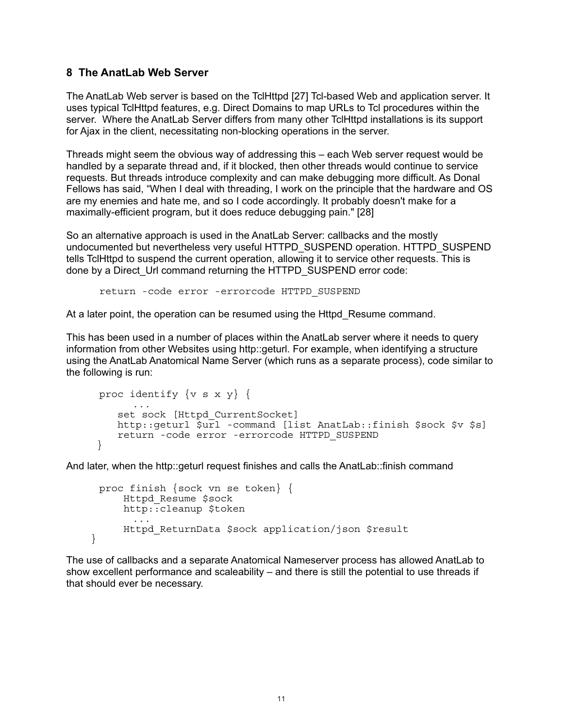#### 8 The AnatLab Web Server

 $\}$ 

The AnatLab Web server is based on the TclHttpd [27] Tcl-based Web and application server. It uses typical TclHttpd features, e.g. Direct Domains to map URLs to Tcl procedures within the server. Where the AnatLab Server differs from many other TclHttpd installations is its support for Ajax in the client, necessitating non-blocking operations in the server.

Threads might seem the obvious way of addressing this – each Web server request would be handled by a separate thread and, if it blocked, then other threads would continue to service requests. But threads introduce complexity and can make debugging more difficult. As Donal Fellows has said, "When I deal with threading, I work on the principle that the hardware and OS are my enemies and hate me, and so I code accordingly. It probably doesn't make for a maximally-efficient program, but it does reduce debugging pain." [28]

So an alternative approach is used in the AnatLab Server: callbacks and the mostly undocumented but nevertheless very useful HTTPD SUSPEND operation. HTTPD SUSPEND tells TclHttpd to suspend the current operation, allowing it to service other requests. This is done by a Direct Url command returning the HTTPD SUSPEND error code:

return - code error - errorcode HTTPD SUSPEND

At a later point, the operation can be resumed using the Httpd Resume command.

This has been used in a number of places within the AnatLab server where it needs to query information from other Websites using http::geturl. For example, when identifying a structure using the AnatLab Anatomical Name Server (which runs as a separate process), code similar to the following is run:

```
proc identify \{v s x y\} {
   set sock [Httpd CurrentSocket]
   http::qeturl $url -command [list AnatLab::finish $sock $v $s]
   return - code error - errorcode HTTPD SUSPEND
\}
```
And later, when the http::geturl request finishes and calls the AnatLab::finish command

```
proc finish {sock vn se token} {
    Httpd Resume $sock
    http::cleanup $token
    Httpd ReturnData $sock application/json $result
```
The use of callbacks and a separate Anatomical Nameserver process has allowed AnatLab to show excellent performance and scaleability  $-$  and there is still the potential to use threads if that should ever be necessary.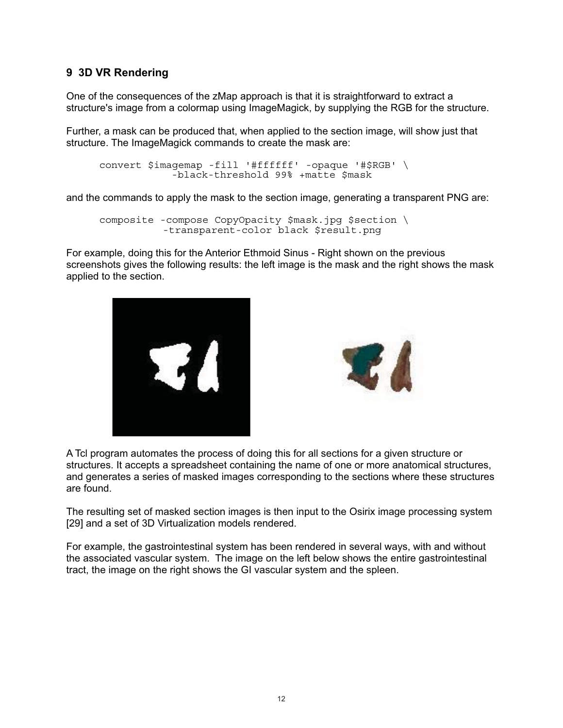## 9 3D VR Rendering

One of the consequences of the zMap approach is that it is straightforward to extract a structure's image from a colormap using ImageMagick, by supplying the RGB for the structure.

Further, a mask can be produced that, when applied to the section image, will show just that structure. The ImageMagick commands to create the mask are:

```
convert $imagemap -fill '#ffffff' -opaque '#$RGB' \
            -black-threshold 99% +matte $mask
```
and the commands to apply the mask to the section image, generating a transparent PNG are:

```
composite - compose CopyOpacity $mask.jpg $section \
          -transparent-color black $result.png
```
For example, doing this for the Anterior Ethmoid Sinus - Right shown on the previous screenshots gives the following results: the left image is the mask and the right shows the mask applied to the section.





A Tcl program automates the process of doing this for all sections for a given structure or structures. It accepts a spreadsheet containing the name of one or more anatomical structures, and generates a series of masked images corresponding to the sections where these structures are found

The resulting set of masked section images is then input to the Osirix image processing system [29] and a set of 3D Virtualization models rendered.

For example, the gastrointestinal system has been rendered in several ways, with and without the associated vascular system. The image on the left below shows the entire gastrointestinal tract, the image on the right shows the GI vascular system and the spleen.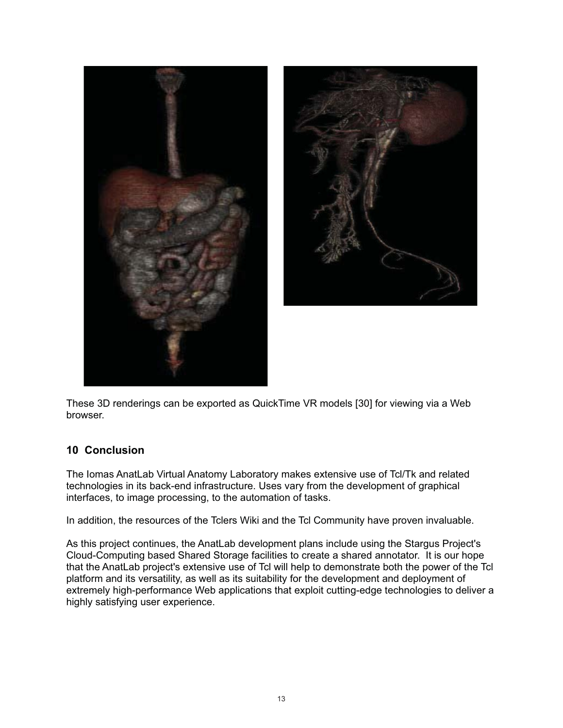



These 3D renderings can be exported as QuickTime VR models [30] for viewing via a Web browser.

# **10 Conclusion**

The Iomas AnatLab Virtual Anatomy Laboratory makes extensive use of Tcl/Tk and related technologies in its back-end infrastructure. Uses vary from the development of graphical interfaces, to image processing, to the automation of tasks.

In addition, the resources of the Tclers Wiki and the Tcl Community have proven invaluable.

As this project continues, the AnatLab development plans include using the Stargus Project's Cloud-Computing based Shared Storage facilities to create a shared annotator. It is our hope that the AnatLab project's extensive use of Tcl will help to demonstrate both the power of the Tcl platform and its versatility, as well as its suitability for the development and deployment of extremely high-performance Web applications that exploit cutting-edge technologies to deliver a highly satisfying user experience.